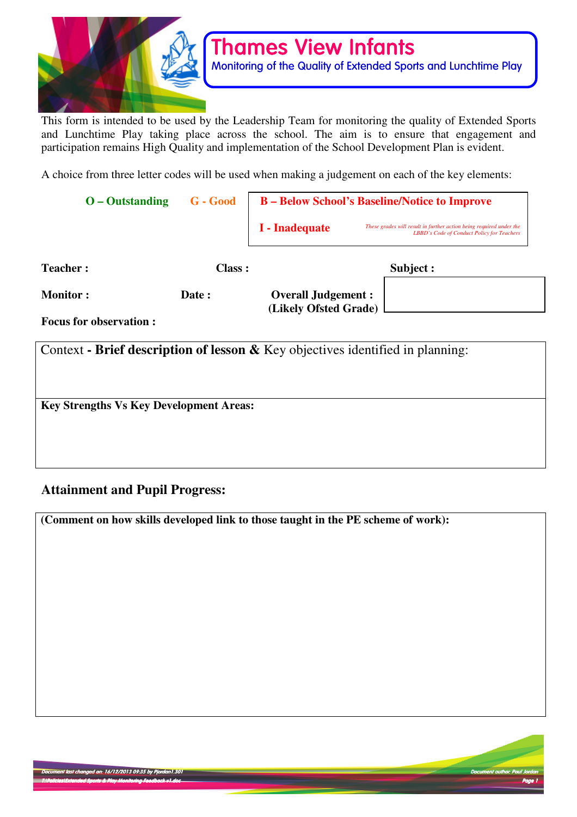

This form is intended to be used by the Leadership Team for monitoring the quality of Extended Sports and Lunchtime Play taking place across the school. The aim is to ensure that engagement and participation remains High Quality and implementation of the School Development Plan is evident.

A choice from three letter codes will be used when making a judgement on each of the key elements:

| $O - Outstanding$                                                                 | G - Good      | <b>B</b> – Below School's Baseline/Notice to Improve |                                                                                                                   |
|-----------------------------------------------------------------------------------|---------------|------------------------------------------------------|-------------------------------------------------------------------------------------------------------------------|
|                                                                                   |               | I - Inadequate                                       | These grades will result in further action being required under the<br>LBBD's Code of Conduct Policy for Teachers |
| <b>Teacher:</b>                                                                   | <b>Class:</b> | Subject :                                            |                                                                                                                   |
| <b>Monitor:</b>                                                                   | Date:         | <b>Overall Judgement:</b><br>(Likely Ofsted Grade)   |                                                                                                                   |
| <b>Focus for observation:</b>                                                     |               |                                                      |                                                                                                                   |
| Context - Brief description of lesson $\&$ Key objectives identified in planning: |               |                                                      |                                                                                                                   |
| <b>Key Strengths Vs Key Development Areas:</b>                                    |               |                                                      |                                                                                                                   |
|                                                                                   |               |                                                      |                                                                                                                   |
|                                                                                   |               |                                                      |                                                                                                                   |

# **Attainment and Pupil Progress:**

**(Comment on how skills developed link to those taught in the PE scheme of work):** 

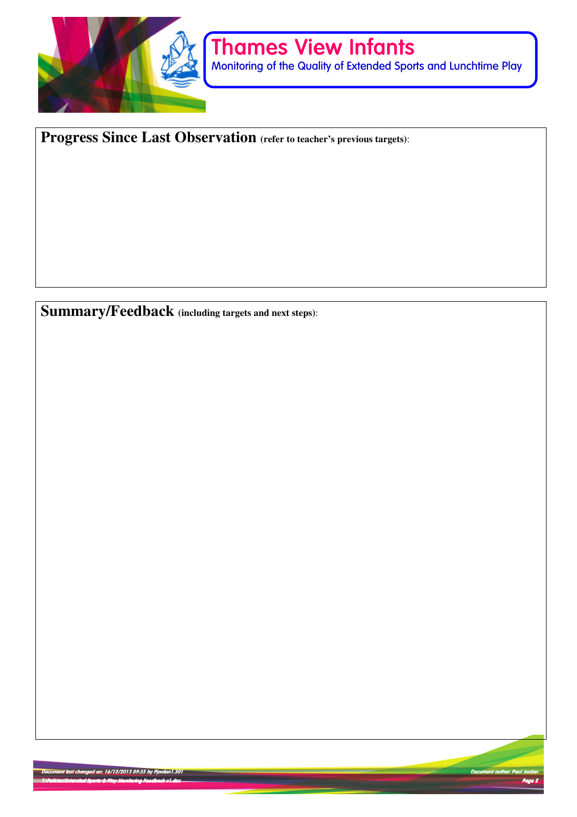

Monitoring of the Quality of Extended Sports and Lunchtime Play

**Progress Since Last Observation (refer to teacher's previous targets)**:

**Summary/Feedback (including targets and next steps)**:

Document last changed on: 16/12/2013 09:35 by Pjordan1.301 Pjordan1.301 Pjordan1.301 Pjordan1.301 Pjordan1.301 T:\Policies\Extended Sports & Play Monitoring Feedback v1.doc Extended & Play Monitoring Feedback v1.doc Page 2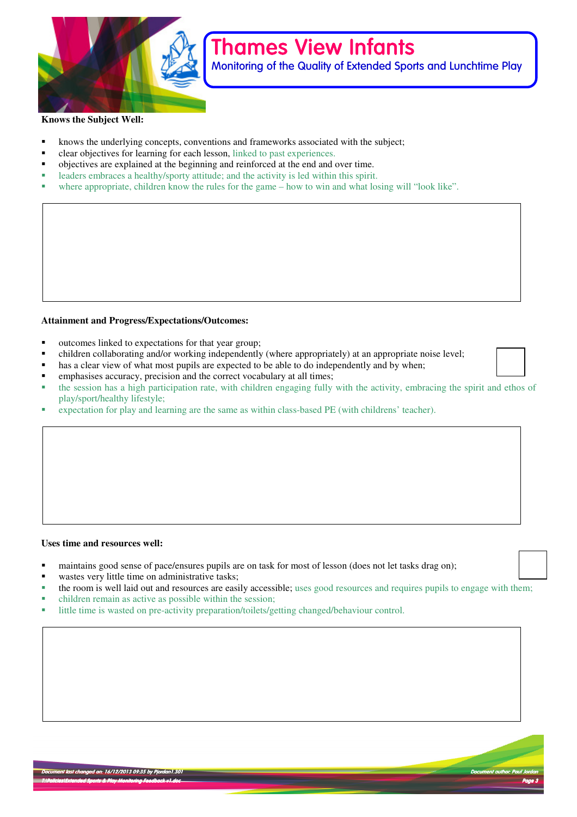

Monitoring of the Quality of Extended Sports and Lunchtime Play

#### **Knows the Subject Well:**

- knows the underlying concepts, conventions and frameworks associated with the subject;
- clear objectives for learning for each lesson, linked to past experiences.
- objectives are explained at the beginning and reinforced at the end and over time.
- leaders embraces a healthy/sporty attitude; and the activity is led within this spirit.
- where appropriate, children know the rules for the game how to win and what losing will "look like".

#### **Attainment and Progress/Expectations/Outcomes:**

- outcomes linked to expectations for that year group;
- children collaborating and/or working independently (where appropriately) at an appropriate noise level;<br>■ hee a clear view of what most pupils are expected to be able to do independently and by when:
- has a clear view of what most pupils are expected to be able to do independently and by when;
- emphasises accuracy, precision and the correct vocabulary at all times;
- the session has a high participation rate, with children engaging fully with the activity, embracing the spirit and ethos of play/sport/healthy lifestyle;
- expectation for play and learning are the same as within class-based PE (with childrens' teacher).

#### **Uses time and resources well:**

- maintains good sense of pace/ensures pupils are on task for most of lesson (does not let tasks drag on);
- wastes very little time on administrative tasks;
- the room is well laid out and resources are easily accessible; uses good resources and requires pupils to engage with them;
- children remain as active as possible within the session;
- little time is wasted on pre-activity preparation/toilets/getting changed/behaviour control.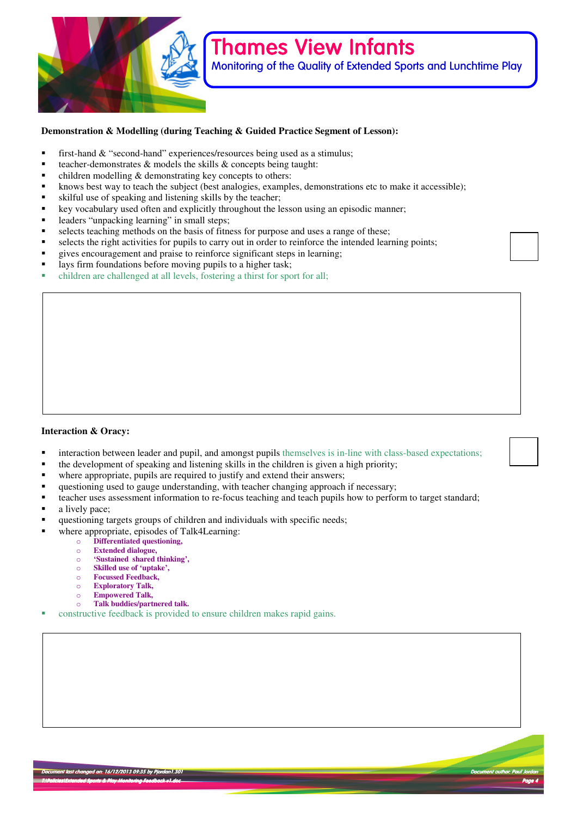

Monitoring of the Quality of Extended Sports and Lunchtime Play

#### **Demonstration & Modelling (during Teaching & Guided Practice Segment of Lesson):**

- first-hand & "second-hand" experiences/resources being used as a stimulus;<br>teacher-demonstrates & models the skills & concents being taught:
- teacher-demonstrates & models the skills & concepts being taught:
- $\blacksquare$  children modelling & demonstrating key concepts to others:
- knows best way to teach the subject (best analogies, examples, demonstrations etc to make it accessible);
- skilful use of speaking and listening skills by the teacher;
- key vocabulary used often and explicitly throughout the lesson using an episodic manner;
- leaders "unpacking learning" in small steps;
- selects teaching methods on the basis of fitness for purpose and uses a range of these;
- selects the right activities for pupils to carry out in order to reinforce the intended learning points;
- gives encouragement and praise to reinforce significant steps in learning;
- lays firm foundations before moving pupils to a higher task;
- children are challenged at all levels, fostering a thirst for sport for all;

#### **Interaction & Oracy:**

- **•** interaction between leader and pupil, and amongst pupils themselves is in-line with class-based expectations;
- the development of speaking and listening skills in the children is given a high priority;
- where appropriate, pupils are required to justify and extend their answers;<br>all questioning used to gauge understanding, with teacher changing approach
- questioning used to gauge understanding, with teacher changing approach if necessary;
- **•** teacher uses assessment information to re-focus teaching and teach pupils how to perform to target standard;
- a lively pace;
- questioning targets groups of children and individuals with specific needs;
- where appropriate, episodes of Talk4Learning:
	- o **Differentiated questioning,**
	- o **Extended dialogue,**
	- o **'Sustained shared thinking',**
	- o **Skilled use of 'uptake',**
	- o **Focussed Feedback,**
	- o **Exploratory Talk,**
	- o **Empowered Talk,**
	- o **Talk buddies/partnered talk.**
- constructive feedback is provided to ensure children makes rapid gains.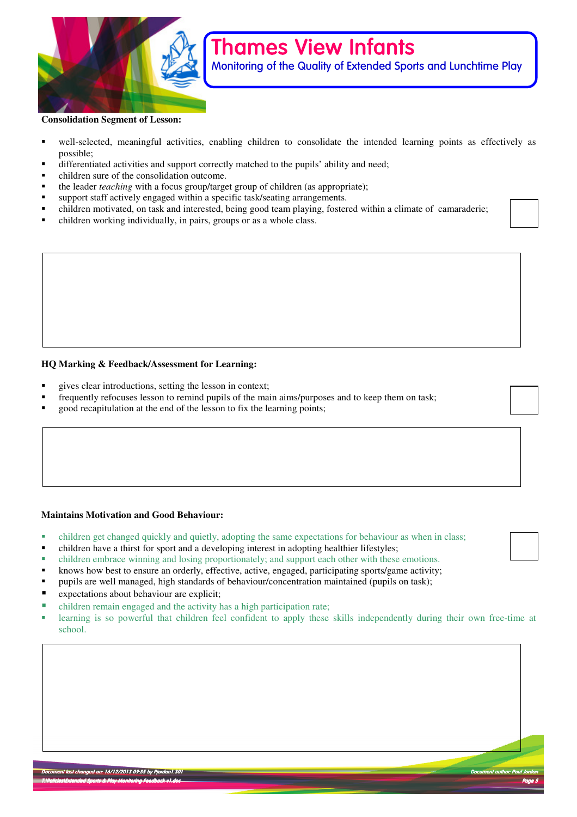

Monitoring of the Quality of Extended Sports and Lunchtime Play

#### **Consolidation Segment of Lesson:**

- well-selected, meaningful activities, enabling children to consolidate the intended learning points as effectively as possible;
- differentiated activities and support correctly matched to the pupils' ability and need;
- children sure of the consolidation outcome.
- the leader *teaching* with a focus group/target group of children (as appropriate);<br>■ support staff actively engaged within a specific task/seating arrangements
- support staff actively engaged within a specific task/seating arrangements.
- children motivated, on task and interested, being good team playing, fostered within a climate of camaraderie;
- children working individually, in pairs, groups or as a whole class.

#### **HQ Marking & Feedback/Assessment for Learning:**

- gives clear introductions, setting the lesson in context;
- frequently refocuses lesson to remind pupils of the main aims/purposes and to keep them on task;
- good recapitulation at the end of the lesson to fix the learning points;

#### **Maintains Motivation and Good Behaviour:**

- children get changed quickly and quietly, adopting the same expectations for behaviour as when in class;
- children have a thirst for sport and a developing interest in adopting healthier lifestyles;
- children embrace winning and losing proportionately; and support each other with these emotions.
- **K**hows how best to ensure an orderly, effective, active, engaged, participating sports/game activity;
- pupils are well managed, high standards of behaviour/concentration maintained (pupils on task);
- **EXECUTE:** expectations about behaviour are explicit;
- children remain engaged and the activity has a high participation rate;
- learning is so powerful that children feel confident to apply these skills independently during their own free-time at school.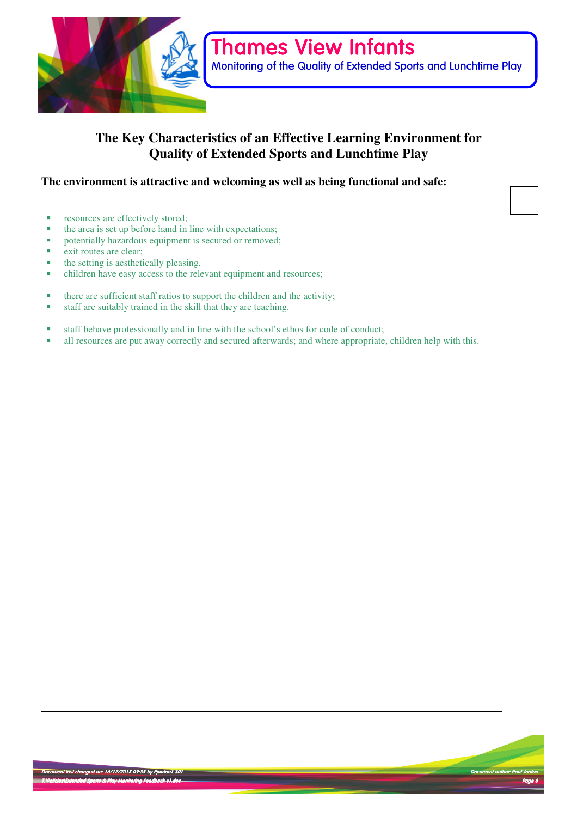

# **The Key Characteristics of an Effective Learning Environment for Quality of Extended Sports and Lunchtime Play**

### **The environment is attractive and welcoming as well as being functional and safe:**

- resources are effectively stored;
- the area is set up before hand in line with expectations;
- potentially hazardous equipment is secured or removed;
- exit routes are clear;
- the setting is aesthetically pleasing.
- children have easy access to the relevant equipment and resources;
- there are sufficient staff ratios to support the children and the activity;
- staff are suitably trained in the skill that they are teaching.
- staff behave professionally and in line with the school's ethos for code of conduct;
- all resources are put away correctly and secured afterwards; and where appropriate, children help with this.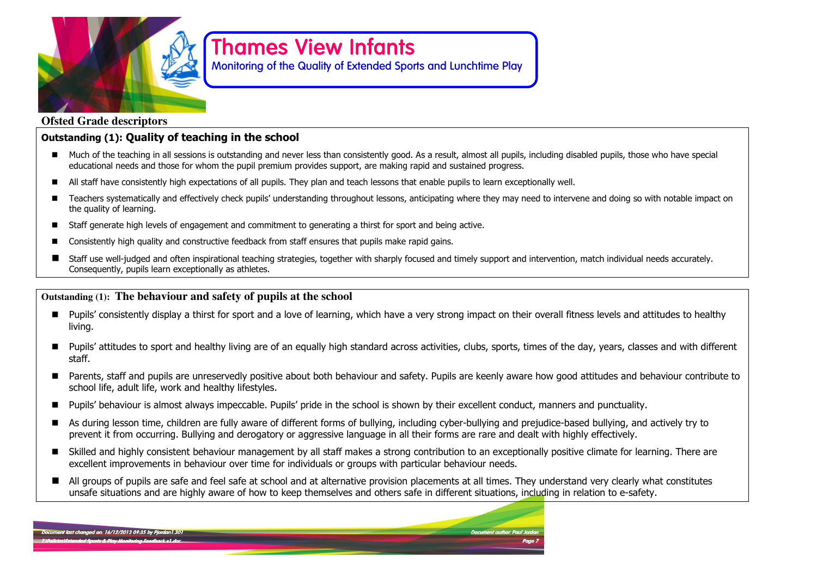

Monitoring of the Quality of Extended Sports and Lunchtime Play

### **Ofsted Grade descriptors**

## Outstanding (1): Quality of teaching in the school

- Much of the teaching in all sessions is outstanding and never less than consistently good. As a result, almost all pupils, including disabled pupils, those who have special and these far whom the numil numium are rides educational needs and those for whom the pupil premium provides support, are making rapid and sustained progress.
- -All staff have consistently high expectations of all pupils. They plan and teach lessons that enable pupils to learn exceptionally well.
- - Teachers systematically and effectively check pupils' understanding throughout lessons, anticipating where they may need to intervene and doing so with notable impact on the quality of learning.
- -Staff generate high levels of engagement and commitment to generating a thirst for sport and being active.
- -Consistently high quality and constructive feedback from staff ensures that pupils make rapid gains.
- - Staff use well-judged and often inspirational teaching strategies, together with sharply focused and timely support and intervention, match individual needs accurately. Consequently, pupils learn exceptionally as athletes.

### **Outstanding (1): The behaviour and safety of pupils at the school**

- Pupils' consistently display a thirst for sport and a love of learning, which have a very strong impact on their overall fitness levels and attitudes to healthy living.
- -Pupils' attitudes to sport and healthy living are of an equally high standard across activities, clubs, sports, times of the day, years, classes and with different staff.
- - Parents, staff and pupils are unreservedly positive about both behaviour and safety. Pupils are keenly aware how good attitudes and behaviour contribute to school life, adult life, work and healthy lifestyles.
- -Pupils' behaviour is almost always impeccable. Pupils' pride in the school is shown by their excellent conduct, manners and punctuality.
- - As during lesson time, children are fully aware of different forms of bullying, including cyber-bullying and prejudice-based bullying, and actively try to prevent it from occurring. Bullying and derogatory or aggressive language in all their forms are rare and dealt with highly effectively.
- Skilled and highly consistent behaviour management by all staff makes a strong contribution to an exceptionally positive climate for learning. There are are strong the particular hard in the strong strong was dependent excellent improvements in behaviour over time for individuals or groups with particular behaviour needs.
- - All groups of pupils are safe and feel safe at school and at alternative provision placements at all times. They understand very clearly what constitutes unsafe situations and are highly aware of how to keep themselves and others safe in different situations, including in relation to e-safety.